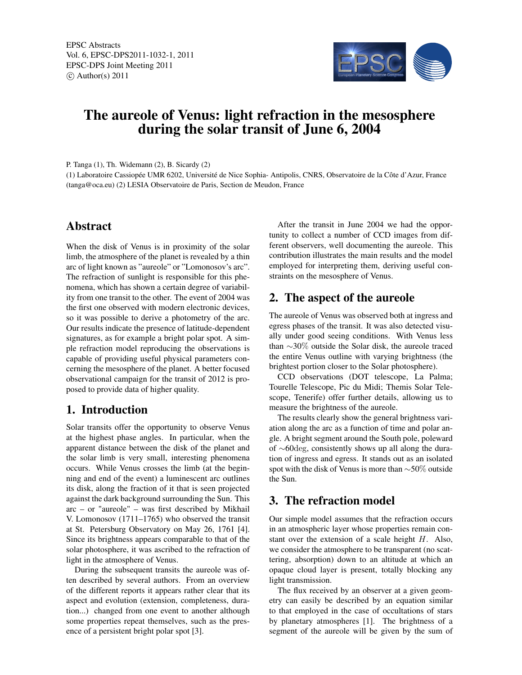

# The aureole of Venus: light refraction in the mesosphere during the solar transit of June 6, 2004

P. Tanga (1), Th. Widemann (2), B. Sicardy (2)

(1) Laboratoire Cassiopée UMR 6202, Université de Nice Sophia- Antipolis, CNRS, Observatoire de la Côte d'Azur, France (tanga@oca.eu) (2) LESIA Observatoire de Paris, Section de Meudon, France

# Abstract

When the disk of Venus is in proximity of the solar limb, the atmosphere of the planet is revealed by a thin arc of light known as "aureole" or "Lomonosov's arc". The refraction of sunlight is responsible for this phenomena, which has shown a certain degree of variability from one transit to the other. The event of 2004 was the first one observed with modern electronic devices, so it was possible to derive a photometry of the arc. Our results indicate the presence of latitude-dependent signatures, as for example a bright polar spot. A simple refraction model reproducing the observations is capable of providing useful physical parameters concerning the mesosphere of the planet. A better focused observational campaign for the transit of 2012 is proposed to provide data of higher quality.

## 1. Introduction

Solar transits offer the opportunity to observe Venus at the highest phase angles. In particular, when the apparent distance between the disk of the planet and the solar limb is very small, interesting phenomena occurs. While Venus crosses the limb (at the beginning and end of the event) a luminescent arc outlines its disk, along the fraction of it that is seen projected against the dark background surrounding the Sun. This arc – or "aureole" – was first described by Mikhail V. Lomonosov (1711–1765) who observed the transit at St. Petersburg Observatory on May 26, 1761 [4]. Since its brightness appears comparable to that of the solar photosphere, it was ascribed to the refraction of light in the atmosphere of Venus.

During the subsequent transits the aureole was often described by several authors. From an overview of the different reports it appears rather clear that its aspect and evolution (extension, completeness, duration...) changed from one event to another although some properties repeat themselves, such as the presence of a persistent bright polar spot [3].

After the transit in June 2004 we had the opportunity to collect a number of CCD images from different observers, well documenting the aureole. This contribution illustrates the main results and the model employed for interpreting them, deriving useful constraints on the mesosphere of Venus.

#### 2. The aspect of the aureole

The aureole of Venus was observed both at ingress and egress phases of the transit. It was also detected visually under good seeing conditions. With Venus less than ∼30% outside the Solar disk, the aureole traced the entire Venus outline with varying brightness (the brightest portion closer to the Solar photosphere).

CCD observations (DOT telescope, La Palma; Tourelle Telescope, Pic du Midi; Themis Solar Telescope, Tenerife) offer further details, allowing us to measure the brightness of the aureole.

The results clearly show the general brightness variation along the arc as a function of time and polar angle. A bright segment around the South pole, poleward of ∼60deg, consistently shows up all along the duration of ingress and egress. It stands out as an isolated spot with the disk of Venus is more than ∼50% outside the Sun.

## 3. The refraction model

Our simple model assumes that the refraction occurs in an atmospheric layer whose properties remain constant over the extension of a scale height H. Also, we consider the atmosphere to be transparent (no scattering, absorption) down to an altitude at which an opaque cloud layer is present, totally blocking any light transmission.

The flux received by an observer at a given geometry can easily be described by an equation similar to that employed in the case of occultations of stars by planetary atmospheres [1]. The brightness of a segment of the aureole will be given by the sum of